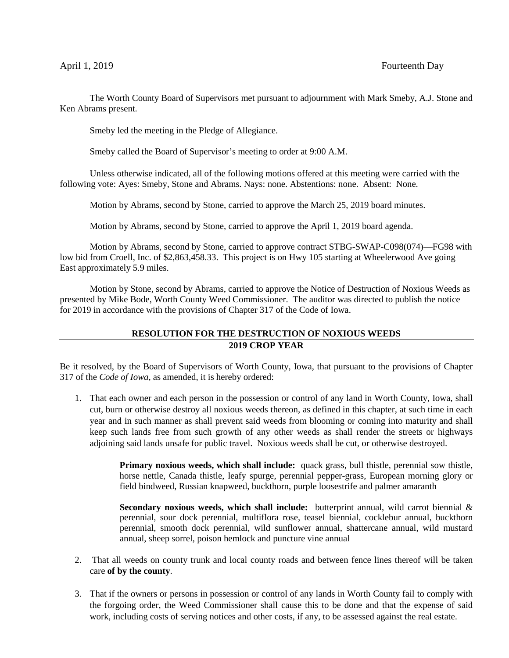The Worth County Board of Supervisors met pursuant to adjournment with Mark Smeby, A.J. Stone and Ken Abrams present.

Smeby led the meeting in the Pledge of Allegiance.

Smeby called the Board of Supervisor's meeting to order at 9:00 A.M.

Unless otherwise indicated, all of the following motions offered at this meeting were carried with the following vote: Ayes: Smeby, Stone and Abrams. Nays: none. Abstentions: none. Absent: None.

Motion by Abrams, second by Stone, carried to approve the March 25, 2019 board minutes.

Motion by Abrams, second by Stone, carried to approve the April 1, 2019 board agenda.

Motion by Abrams, second by Stone, carried to approve contract STBG-SWAP-C098(074)—FG98 with low bid from Croell, Inc. of \$2,863,458.33. This project is on Hwy 105 starting at Wheelerwood Ave going East approximately 5.9 miles.

Motion by Stone, second by Abrams, carried to approve the Notice of Destruction of Noxious Weeds as presented by Mike Bode, Worth County Weed Commissioner. The auditor was directed to publish the notice for 2019 in accordance with the provisions of Chapter 317 of the Code of Iowa.

## **RESOLUTION FOR THE DESTRUCTION OF NOXIOUS WEEDS 2019 CROP YEAR**

Be it resolved, by the Board of Supervisors of Worth County, Iowa, that pursuant to the provisions of Chapter 317 of the *Code of Iowa,* as amended, it is hereby ordered:

1. That each owner and each person in the possession or control of any land in Worth County, Iowa, shall cut, burn or otherwise destroy all noxious weeds thereon, as defined in this chapter, at such time in each year and in such manner as shall prevent said weeds from blooming or coming into maturity and shall keep such lands free from such growth of any other weeds as shall render the streets or highways adjoining said lands unsafe for public travel. Noxious weeds shall be cut, or otherwise destroyed.

> **Primary noxious weeds, which shall include:** quack grass, bull thistle, perennial sow thistle, horse nettle, Canada thistle, leafy spurge, perennial pepper-grass, European morning glory or field bindweed, Russian knapweed, buckthorn, purple loosestrife and palmer amaranth

> **Secondary noxious weeds, which shall include:** butterprint annual, wild carrot biennial & perennial, sour dock perennial, multiflora rose, teasel biennial, cocklebur annual, buckthorn perennial, smooth dock perennial, wild sunflower annual, shattercane annual, wild mustard annual, sheep sorrel, poison hemlock and puncture vine annual

- 2. That all weeds on county trunk and local county roads and between fence lines thereof will be taken care **of by the county**.
- 3. That if the owners or persons in possession or control of any lands in Worth County fail to comply with the forgoing order, the Weed Commissioner shall cause this to be done and that the expense of said work, including costs of serving notices and other costs, if any, to be assessed against the real estate.